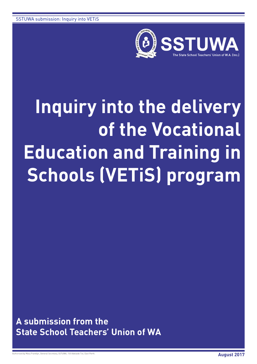

# **Inquiry into the delivery of the Vocational Education and Training in Schools (VETiS) program**

**A submission from the State School Teachers' Union of WA**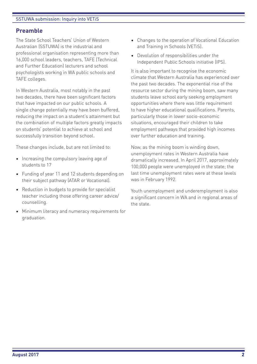# **Preamble**

The State School Teachers' Union of Western Australian (SSTUWA) is the industrial and professional organisation representing more than 16,000 school leaders, teachers, TAFE (Technical and Further Education) lecturers and school psychologists working in WA public schools and TAFE colleges.

In Western Australia, most notably in the past two decades, there have been significant factors that have impacted on our public schools. A single change potentially may have been buffered, reducing the impact on a student's attainment but the combination of multiple factors greatly impacts on students' potential to achieve at school and successfully transition beyond school.

These changes include, but are not limited to:

- Increasing the compulsory leaving age of students to 17
- Funding of year 11 and 12 students depending on their subject pathway (ATAR or Vocational).
- Reduction in budgets to provide for specialist teacher including those offering career advice/ counselling.
- Minimum literacy and numeracy requirements for graduation.
- Changes to the operation of Vocational Education and Training in Schools (VETiS).
- Devolution of responsibilities under the Independent Public Schools initiative (IPS).

It is also important to recognise the economic climate that Western Australia has experienced over the past two decades. The exponential rise of the resource sector during the mining boom, saw many students leave school early seeking employment opportunities where there was little requirement to have higher educational qualifications. Parents, particularly those in lower socio-economic situations, encouraged their children to take employment pathways that provided high incomes over further education and training.

Now, as the mining boom is winding down, unemployment rates in Western Australia have dramatically increased. In April 2017, approximately 100,000 people were unemployed in the state; the last time unemployment rates were at these levels was in February 1992.

Youth unemployment and underemployment is also a significant concern in WA and in regional areas of the state.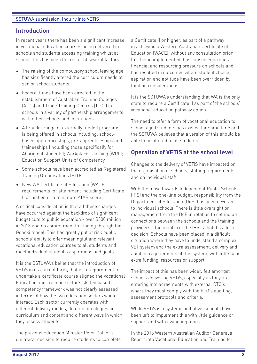# **Introduction**

In recent years there has been a significant increase in vocational education courses being delivered in schools and students accessing training whilst at school. This has been the result of several factors:

- The raising of the compulsory school leaving age has significantly altered the curriculum needs of senior school students.
- Federal funds have been directed to the establishment of Australian Training Colleges (ATCs) and Trade Training Centres (TTCs) in schools in a variety of partnership arrangements with other schools and institutions.
- A broader range of externally funded programs is being offered in schools including: schoolbased apprenticeships, pre-apprenticeships and traineeships (including those specifically for Aboriginal students); Workplace Learning (WPL); Education Support Units of Competency.
- Some schools have been accredited as Registered Training Organisations (RTOs).
- New WA Certificate of Education (WACE) requirements for attainment including Certificate II or higher, or a minimum ATAR score.

A critical consideration is that all these changes have occurred against the backdrop of significant budget cuts to public education - over \$300 million in 2013 and no commitment to funding through the Gonski model. This has greatly put at risk public schools' ability to offer meaningful and relevant vocational education courses to all students and meet individual student's aspirations and goals.

It is the SSTUWA's belief that the introduction of VETiS in its current form, that is, a requirement to undertake a certificate course aligned the Vocational Education and Training sector's skilled based competency framework was not clearly assessed in terms of how the two education sectors would interact. Each sector currently operates with different delivery modes, different ideologies on curriculum and content and different ways in which they assess students.

The previous Education Minister Peter Collier's unilateral decision to require students to complete a Certificate II or higher, as part of a pathway in achieving a Western Australian Certificate of Education (WACE), without any consultation prior to it being implemented, has caused enormous financial and resourcing pressure on schools and has resulted in outcomes where student choice, aspiration and aptitude have been overridden by funding considerations.

It is the SSTUWA's understanding that WA is the only state to require a Certificate II as part of the schools' vocational education pathway option.

The need to offer a form of vocational education to school aged students has existed for some time and the SSTUWA believes that a version of this should be able to be offered to all students.

# **Operation of VETiS at the school level**

Changes to the delivery of VETiS have impacted on the organisation of schools, staffing requirements and on individual staff.

With the move towards Independent Public Schools (IPS) and the one-line budget, responsibility from the Department of Education (DoE) has been devolved to individual schools. There is little oversight or management from the DoE in relation to setting up connections between the schools and the training providers - the mantra of the IPS is that it's a local decision. Schools have been placed in a difficult situation where they have to understand a complex VET system and the extra assessment, delivery and auditing requirements of this system, with little to no extra funding, resources or support.

The impact of this has been widely felt amongst schools delivering VETiS, especially as they are entering into agreements with external RTO's where they must comply with the RTO's auditing, assessment protocols and criteria.

While VETiS is a systemic initiative, schools have been left to implement this with little guidance or support and with dwindling funds.

In the 2016 Western Australian Auditor General's Report into Vocational Education and Training for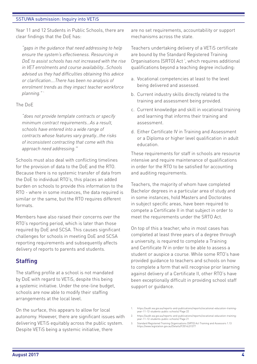Year 11 and 12 Students in Public Schools, there are clear findings that the DoE has:

*"gaps in the guidance that need addressing to help ensure the system's effectiveness. Resourcing in DoE to assist schools has not increased with the rise in VET enrolments and course availability…Schools advised us they had difficulties obtaining this advice or clarification….There has been no analysis of enrolment trends as they impact teacher workforce planning."* <sup>1</sup>

#### The DoE

*"does not provide template contracts or specify minimum contract requirements…As a result, schools have entered into a wide range of contracts whose features vary greatly…the risks of inconsistent contracting that come with this approach need addressing."*<sup>2</sup>

Schools must also deal with conflicting timelines for the provision of data to the DoE and the RTO. Because there is no systemic transfer of data from the DoE to individual RTO's, this places an added burden on schools to provide this information to the RTO - where in some instances, the data required is similar or the same, but the RTO requires different formats.

Members have also raised their concerns over the RTO's reporting period, which is later than those required by DoE and SCSA. This causes significant challenges for schools in meeting DoE and SCSA reporting requirements and subsequently affects delivery of reports to parents and students.

## **Staffing**

The staffing profile at a school is not mandated by DoE with regard to VETiS, despite this being a systemic initiative. Under the one-line budget, schools are now able to modify their staffing arrangements at the local level.

On the surface, this appears to allow for local autonomy. However, there are significant issues with delivering VETiS equitably across the public system. Despite VETiS being a systemic initiative, there

are no set requirements, accountability or support mechanisms across the state.

Teachers undertaking delivery of a VETiS certificate are bound by the Standard Registered Training Organisations (SRTO) Act<sup>3</sup>, which requires additional qualifications beyond a teaching degree including:

- a. Vocational competencies at least to the level being delivered and assessed.
- b. Current industry skills directly related to the training and assessment being provided.
- c. Current knowledge and skill in vocational training and learning that informs their training and assessment.
- d. Either Certificate IV in Training and Assessment or a Diploma or higher level qualification in adult education.

These requirements for staff in schools are resource intensive and require maintenance of qualifications in order for the RTO to be satisfied for accounting and auditing requirements.

Teachers, the majority of whom have completed Bachelor degrees in a particular area of study and in some instances, hold Masters and Doctorates in subject specific areas, have been required to compete a Certificate II in that subject in order to meet the requirements under the SRTO Act.

On top of this a teacher, who in most cases has completed at least three years of a degree through a university, is required to complete a Training and Certificate IV in order to be able to assess a student or auspice a course. While some RTO's have provided guidance to teachers and schools on how to complete a form that will recognise prior learning against delivery of a Certificate II, other RTO's have been exceptionally difficult in providing school staff support or guidance.

- 2. https://audit.wa.gov.au/reports-and-publications/reports/vocational-education-trainingyear-11-12-students-public-schools/ Page 21
- 3. Standard Registered Training Organisations (SRTO) Act Training and Assessors 1.13 https://www.legislation.gov.au/Details/F2014L01377

<sup>1.</sup> https://audit.wa.gov.au/reports-and-publications/reports/vocational-education-trainingyear-11-12-students-public-schools/ Page 22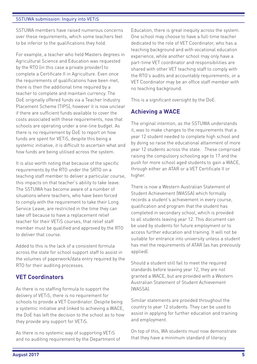SSTUWA members have raised numerous concerns over these requirements, which some teachers feel to be inferior to the qualifications they hold.

For example, a teacher who held Masters degrees in Agricultural Science and Education was requested by the RTO (in this case a private provider) to complete a Certificate II in Agriculture. Even once the requirements of qualifications have been met, there is then the additional time required by a teacher to complete and maintain currency. The DoE originally offered funds via a Teacher Industry Placement Scheme (TIPS), however it is now unclear if there are sufficient funds available to cover the costs associated with these requirements, now that schools are operating under a one-line budget. As there is no requirement by DoE to report on how funds are spent for VETiS, despite this being a systemic initiative, it is difficult to ascertain what and how funds are being utilised across the system.

It is also worth noting that because of the specific requirements by the RTO under the SRTO on a teaching staff member to deliver a particular course, this impacts on that teacher's ability to take leave. The SSTUWA has become aware of a number of situations where teachers, who have been forced to comply with the requirement to take their Long Service Leave, are restricted in the time they can take off because to have a replacement relief teacher for their VETiS courses, that relief staff member must be qualified and approved by the RTO to deliver that course.

Added to this is the lack of a consistent formula across the state for school support staff to assist in the volumes of paperwork/data entry required by the RTO for their auditing processes.

# **VET Coordinators**

As there is no staffing formula to support the delivery of VETiS, there is no requirement for schools to provide a VET Coordinator. Despite being a systemic initiative and linked to achieving a WACE, the DoE has left the decision to the school as to how they provide any support for VETiS.

As there is no systemic way of supporting VETiS and no auditing requirement by the Department of

Education, there is great inequity across the system. One school may choose to have a full-time teacher dedicated to the role of VET Coordinator, who has a teaching background and with vocational education experience, while another school may only have a part-time VET coordinator and responsibilities are shared with other VET teaching staff to comply with the RTO's audits and accountably requirements; or a VET Coordinator may be an office staff member with no teaching background.

This is a significant oversight by the DoE.

# **Achieving a WACE**

The original intention, as the SSTUWA understands it, was to make changes to the requirements that a year 12 student needed to complete high school and by doing so raise the educational attainment of more year 12 students across the state. These comprised raising the compulsory schooling age to 17 and the push for more school aged students to gain a WACE, through either an ATAR or a VET Certificate II or higher.

There is now a Western Australian Statement of Student Achievement (WASSA) which formally records a student's achievement in every course, qualification and program that the student has completed in secondary school, which is provided to all students leaving year 12. This document can be used by students for future employment or to access further education and training. It will not be suitable for entrance into university unless a student has met the requirements of ATAR (as has previously applied).

Should a student still fail to meet the required standards before leaving year 12, they are not granted a WACE, but are provided with a Western Australian Statement of Student Achievement (WASSA).

Similar statements are provided throughout the country to year 12 students. They can be used to assist in applying for further education and training and employment.

On top of this, WA students must now demonstrate that they have a minimum standard of literacy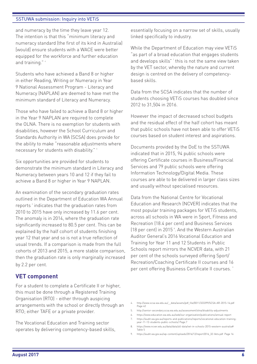and numeracy by the time they leave year 12. The intention is that this "minimum literacy and numeracy standard (the first of its kind in Australia) [would] ensure students with a WACE were better equipped for the workforce and further education and training." 4

Students who have achieved a Band 8 or higher in either Reading, Writing or Numeracy in Year 9 National Assessment Program - Literacy and Numeracy (NAPLAN) are deemed to have met the minimum standard of Literacy and Numeracy.

Those who have failed to achieve a Band 8 or higher in the Year 9 NAPLAN are required to complete the OLNA. There is no exemption for students with disabilities, however the School Curriculum and Standards Authority in WA (SCSA) does provide for the ability to make "reasonable adjustments where necessary for students with disability." 5

Six opportunities are provided for students to demonstrate the minimum standard in Literacy and Numeracy between years 10 and 12 if they fail to achieve a Band 8 or higher in Year 9 NAPLAN.

An examination of the secondary graduation rates outlined in the Department of Education WA Annual reports *i* indicates that the graduation rates from 2010 to 2015 have only increased by 11.6 per cent. The anomaly is in 2014, where the graduation rate significantly increased to 80.5 per cent. This can be explained by the half cohort of students finishing year 12 that year and so is not a true reflection of usual trends. If a comparison is made from the full cohorts of 2013 and 2015, a more stable comparison, then the graduation rate is only marginally increased by 2.2 per cent.

#### **VET component**

For a student to complete a Certificate II or higher, this must be done through a Registered Training Organisation (RTO) - either through auspicing arrangements with the school or directly through an RTO; either TAFE or a private provider.

The Vocational Education and Training sector operates by delivering competency-based skills,

essentially focusing on a narrow set of skills, usually linked specifically to industry.

While the Department of Education may view VETiS "as part of a broad education that engages students and develops skills" $^7$  this is not the same view taken by the VET sector, whereby the nature and current design is centred on the delivery of competencybased skills.

Data from the SCSA indicates that the number of students choosing VETiS courses has doubled since 2012 to 31,504 in 2016.

However the impact of decreased school budgets and the residual effect of the half cohort has meant that public schools have not been able to offer VETiS courses based on student interest and aspirations.

Documents provided by the DoE to the SSTUWA indicated that in 2015, 94 public schools were offering Certificate courses in Business/Financial Services and 79 public schools were offering Information Technology/Digital Media. These courses are able to be delivered in larger class sizes and usually without specialised resources.

Data from the National Centre for Vocational Education and Research (NCVER) indicates that the most popular training packages for VETiS students, across all schools in WA were in Sport, Fitness and Recreation (18.4 per cent) and Business Services (18 per cent) in 2015<sup>8</sup>. And the Western Australian Auditor General's 2016 Vocational Education and Training for Year 11 and 12 Students in Public Schools report mirrors the NCVER data, with 21 per cent of the schools surveyed offering Sport/ Recreation/Coaching Certificate II courses and 16 per cent offering Business Certificate II courses.<sup>9</sup>

- 4. http://www.scsa.wa.edu.au/\_\_data/assets/pdf\_file/0011/323399/SCSA-AR-2015-16.pdf Page 42
- 5. http://senior-secondary.scsa.wa.edu.au/assessment/olna/disability-adjustments
- 6. https://www.education.wa.edu.au/web/our-organisation/publications/annual-report
- 7. https://audit.wa.gov.au/reports-and-publications/reports/vocational-education-trainingyear-11-12-students-public-schools/ Page.7
- 8. https://www.ncver.edu.au/data/data/all-data/vet-in-schools-2015-western-australia# Table 5
- 9. https://audit.wa.gov.au/wp-content/uploads/2016/12/report2016\_32-Vets.pdf Page 16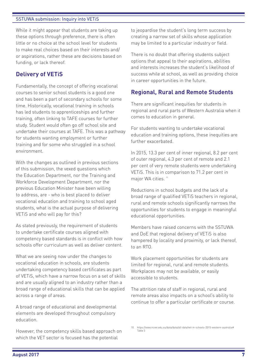While it might appear that students are taking up these options through preference, there is often little or no choice at the school level for students to make real choices based on their interests and/ or aspirations, rather these are decisions based on funding, or lack thereof.

## **Delivery of VETiS**

Fundamentally, the concept of offering vocational courses to senior school students is a good one and has been a part of secondary schools for some time. Historically, vocational training in schools has led students to apprenticeships and further training, often linking to TAFE courses for further study. Student would often go off school site and undertake their courses at TAFE. This was a pathway for students wanting employment or further training and for some who struggled in a school environment.

With the changes as outlined in previous sections of this submission, the vexed questions which the Education Department, nor the Training and Workforce Development Department, nor the previous Education Minister have been willing to address, are - who is best placed to deliver vocational education and training to school aged students, what is the actual purpose of delivering VETiS and who will pay for this?

As stated previously, the requirement of students to undertake certificate courses aligned with competency based standards is in conflict with how schools offer curriculum as well as deliver content.

What we are seeing now under the changes to vocational education in schools, are students undertaking competency based certificates as part of VETiS, which have a narrow focus on a set of skills and are usually aligned to an industry rather than a broad range of educational skills that can be applied across a range of areas.

A broad range of educational and developmental elements are developed throughout compulsory education.

However, the competency skills based approach on which the VET sector is focused has the potential

to jeopardise the student's long term success by creating a narrow set of skills whose application may be limited to a particular industry or field.

There is no doubt that offering students subject options that appeal to their aspirations, abilities and interests increases the student's likelihood of success while at school, as well as providing choice in career opportunities in the future.

## **Regional, Rural and Remote Students**

There are significant inequities for students in regional and rural parts of Western Australia when it comes to education in general.

For students wanting to undertake vocational education and training options, these inequities are further exacerbated.

In 2015, 13.3 per cent of inner regional, 8.2 per cent of outer regional, 4.3 per cent of remote and 2.1 per cent of very remote students were undertaking VETiS. This is in comparison to 71.2 per cent in major WA cities.<sup>10</sup>

Reductions in school budgets and the lack of a broad range of qualified VETiS teachers in regional, rural and remote schools significantly narrows the opportunities for students to engage in meaningful educational opportunities.

Members have raised concerns with the SSTUWA and DoE that regional delivery of VETiS is also hampered by locality and proximity, or lack thereof, to an RTO.

Work placement opportunities for students are limited for regional, rural and remote students. Workplaces may not be available, or easily accessible to students.

The attrition rate of staff in regional, rural and remote areas also impacts on a school's ability to continue to offer a particular certificate or course.

<sup>10.</sup> https://www.ncver.edu.au/data/data/all-data/vet-in-schools-2015-western-australia# Table 5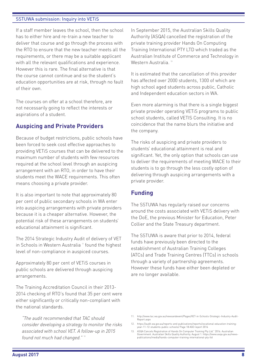If a staff member leaves the school, then the school has to either hire and re-train a new teacher to deliver that course and go through the process with the RTO to ensure that the new teacher meets all the requirements, or there may be a suitable applicant with all the relevant qualifications and experience. However this is rare. The final alternative is that the course cannot continue and so the student's education opportunities are at risk, through no fault of their own.

The courses on offer at a school therefore, are not necessarily going to reflect the interests or aspirations of a student.

# **Auspicing and Private Providers**

Because of budget restrictions, public schools have been forced to seek cost effective approaches to providing VETiS courses that can be delivered to the maximum number of students with few resources required at the school level through an auspicing arrangement with an RTO, in order to have their students meet the WACE requirements. This often means choosing a private provider.

It is also important to note that approximately 80 per cent of public secondary schools in WA enter into auspicing arrangements with private providers because it is a cheaper alternative. However, the potential risk of these arrangements on students' educational attainment is significant.

The 2014 Strategic Industry Audit of delivery of VET in Schools in Western Australia<sup>"</sup> found the highest level of non-compliance in auspiced courses.

Approximately 80 per cent of VETiS courses in public schools are delivered through auspicing arrangements.

The Training Accreditation Council in their 2013- 2014 checking of RTO's found that 35 per cent were either significantly or critically non-compliant with the national standards.

*"The audit recommended that TAC should consider developing a strategy to monitor the risks associated with school VET. A follow-up in 2015 found not much had changed."* <sup>12</sup>

In September 2015, the Australian Skills Quality Authority (ASQA) cancelled the registration of the private training provider Hands On Computing Training International PTY LTD which traded as the Australian Institute of Commerce and Technology in Western Australia.<sup>13</sup>

It is estimated that the cancellation of this provider has affected over 2000 students, 1300 of which are high school aged students across public, Catholic and Independent education sectors in WA.

Even more alarming is that there is a single biggest private provider operating VETiS programs to public school students, called VETIS Consulting. It is no coincidence that the name blurs the initiative and the company.

The risks of auspicing and private providers to students' educational attainment is real and significant. Yet, the only option that schools can use to deliver the requirements of meeting WACE to their students is to go through the less costly option of delivering through auspicing arrangements with a private provider.

#### **Funding**

The SSTUWA has regularly raised our concerns around the costs associated with VETiS delivery with the DoE, the previous Minister for Education, Peter Collier and the State Treasury department.

The SSTUWA is aware that prior to 2014, federal funds have previously been directed to the establishment of Australian Training Colleges (ATCs) and Trade Training Centres (TTCs) in schools through a variety of partnership agreements. However these funds have either been depleted or are no longer available.

<sup>11.</sup> http://www.tac.wa.gov.au/newsandevent/Pages/VET-in-Schools-Strategic-Industry-Audit-Report.aspx

<sup>12.</sup> https://audit.wa.gov.au/reports-and-publications/reports/vocational-education-trainingyear-11-12-students-public-schools/ Page 18 AGO report 2016

<sup>13.</sup> ASQA Cancels Registration of Hands On Computer Training Pty Ltd." 2016. Australian Government. Australian Skills Quality Authority. August 1. https://www.asqa.gov.au/news-publications/media/hands-computer-training-international-pty-ltd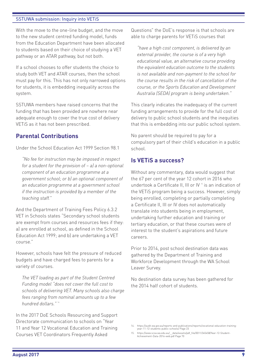With the move to the one-line budget, and the move to the new student centred funding model, funds from the Education Department have been allocated to students based on their choice of studying a VET pathway or an ATAR pathway, but not both.

If a school chooses to offer students the choice to study both VFT and ATAR courses, then the school must pay for this. This has not only narrowed options for students, it is embedding inequality across the system.

SSTUWA members have raised concerns that the funding that has been provided are nowhere near adequate enough to cover the true cost of delivery VETiS as it has not been prescribed.

## **Parental Contributions**

Under the School Education Act 1999 Section 98.1

*"No fee for instruction may be imposed in respect for a student for the provision of – a) a non-optional component of an education programme at a government school; or b) an optional component of an education programme at a government school if the instruction is provided by a member of the teaching staff."* 

And the Department of Training Fees Policy 6.3.2 VET in Schools states "Secondary school students are exempt from courses and resources fees if they: a) are enrolled at school, as defined in the School Education Act 1999; and b) are undertaking a VET course."

However, schools have felt the pressure of reduced budgets and have charged fees to parents for a variety of courses.

*The VET loading as part of the Student Centred Funding model "does not cover the full cost to schools of delivering VET. Many schools also charge fees ranging from nominal amounts up to a few hundred dollars."* <sup>14</sup> 

In the 2017 DoE Schools Resourcing and Support Directorate communication to schools on "Year 11 and Year 12 Vocational Education and Training Courses VET Coordinators Frequently Asked

Questions" the DoE's response is that schools are able to charge parents for VETiS courses that

*"have a high cost component, is delivered by an external provider, the course is of a very high educational value, an alternative course providing the equivalent education outcome to the students is not available and non-payment to the school for the course results in the risk of cancellation of the course, or the Sports Education and Development Australia (SEDA) program is being undertaken."*

This clearly indicates the inadequacy of the current funding arrangements to provide for the full cost of delivery to public school students and the inequities that this is embedding into our public school system.

No parent should be required to pay for a compulsory part of their child's education in a public school.

## **Is VETiS a success?**

Without any commentary, data would suggest that the 67 per cent of the year 12 cohort in 2016 who undertook a Certificate II, III or IV 15 is an indication of the VETiS program being a success. However, simply being enrolled, completing or partially completing a Certificate II, III or IV does not automatically translate into students being in employment, undertaking further education and training or tertiary education, or that these courses were of interest to the student's aspirations and future careers.

Prior to 2014, post school destination data was gathered by the Department of Training and Workforce Development through the WA School Leaver Survey.

No destination data survey has been gathered for the 2014 half cohort of students.

<sup>14.</sup> https://audit.wa.gov.au/reports-and-publications/reports/vocational-education-training-year-11-12-students-public-schools/ Page 23

<sup>15.</sup> https://www.scsa.wa.edu.au/\_\_data/assets/pdf\_file/0011/345458/Year-12-Student-Achievement-Data-2016-web.pdf Page 70